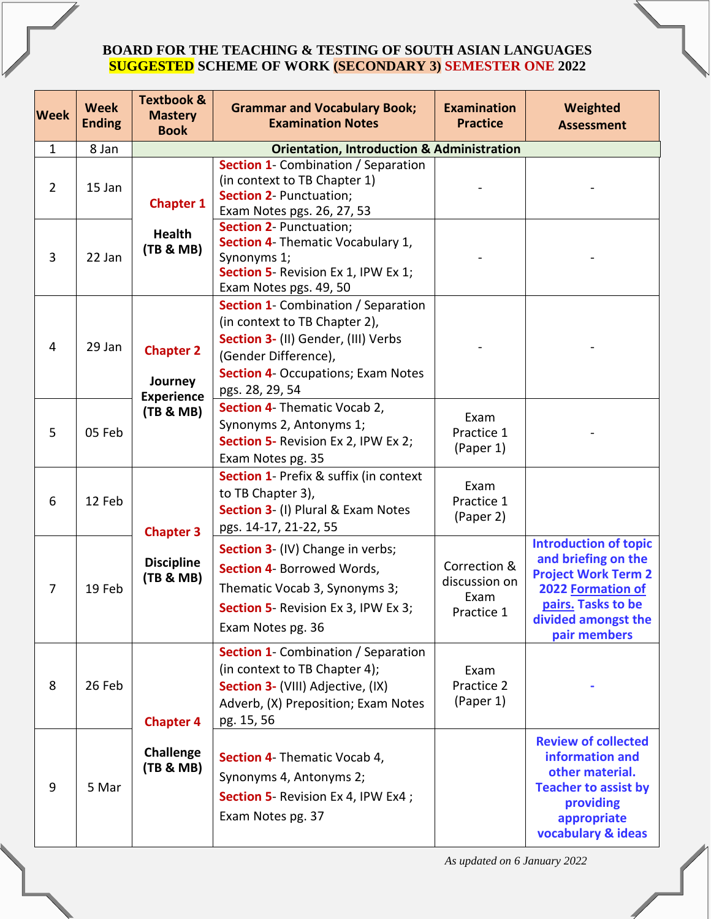## **BOARD FOR THE TEACHING & TESTING OF SOUTH ASIAN LANGUAGES SUGGESTED SCHEME OF WORK (SECONDARY 3) SEMESTER ONE 2022**

| <b>Week</b>    | <b>Week</b><br><b>Ending</b> | <b>Textbook &amp;</b><br><b>Mastery</b><br><b>Book</b> | <b>Grammar and Vocabulary Book;</b><br><b>Examination Notes</b>                                                                                                                                            | <b>Examination</b><br><b>Practice</b>               | Weighted<br><b>Assessment</b>                                                                                                                                       |
|----------------|------------------------------|--------------------------------------------------------|------------------------------------------------------------------------------------------------------------------------------------------------------------------------------------------------------------|-----------------------------------------------------|---------------------------------------------------------------------------------------------------------------------------------------------------------------------|
| $\mathbf{1}$   | 8 Jan                        |                                                        | <b>Orientation, Introduction &amp; Administration</b>                                                                                                                                                      |                                                     |                                                                                                                                                                     |
| $\overline{2}$ | 15 Jan                       | <b>Chapter 1</b>                                       | Section 1- Combination / Separation<br>(in context to TB Chapter 1)<br><b>Section 2- Punctuation;</b><br>Exam Notes pgs. 26, 27, 53                                                                        |                                                     |                                                                                                                                                                     |
| 3              | 22 Jan                       | <b>Health</b><br>(TB & MB)                             | <b>Section 2- Punctuation;</b><br>Section 4- Thematic Vocabulary 1,<br>Synonyms 1;<br>Section 5 Revision Ex 1, IPW Ex 1;<br>Exam Notes pgs. 49, 50                                                         |                                                     |                                                                                                                                                                     |
| 4              | 29 Jan                       | <b>Chapter 2</b><br>Journey<br><b>Experience</b>       | <b>Section 1- Combination / Separation</b><br>(in context to TB Chapter 2),<br>Section 3- (II) Gender, (III) Verbs<br>(Gender Difference),<br><b>Section 4- Occupations; Exam Notes</b><br>pgs. 28, 29, 54 |                                                     |                                                                                                                                                                     |
| 5              | 05 Feb                       | (TB & MB)                                              | <b>Section 4</b> Thematic Vocab 2,<br>Synonyms 2, Antonyms 1;<br>Section 5- Revision Ex 2, IPW Ex 2;<br>Exam Notes pg. 35                                                                                  | Exam<br>Practice 1<br>(Paper 1)                     |                                                                                                                                                                     |
| 6              | 12 Feb                       | <b>Chapter 3</b>                                       | <b>Section 1- Prefix &amp; suffix (in context)</b><br>to TB Chapter 3),<br>Section 3- (I) Plural & Exam Notes<br>pgs. 14-17, 21-22, 55                                                                     | Exam<br>Practice 1<br>(Paper 2)                     |                                                                                                                                                                     |
| 7              | 19 Feb                       | <b>Discipline</b><br>(TB & MB)                         | <b>Section 3</b> (IV) Change in verbs;<br>Section 4- Borrowed Words,<br>Thematic Vocab 3, Synonyms 3;<br>Section 5- Revision Ex 3, IPW Ex 3;<br>Exam Notes pg. 36                                          | Correction &<br>discussion on<br>Exam<br>Practice 1 | <b>Introduction of topic</b><br>and briefing on the<br><b>Project Work Term 2</b><br>2022 Formation of<br>pairs. Tasks to be<br>divided amongst the<br>pair members |
| 8              | 26 Feb                       | <b>Chapter 4</b>                                       | <b>Section 1</b> - Combination / Separation<br>(in context to TB Chapter 4);<br>Section 3- (VIII) Adjective, (IX)<br>Adverb, (X) Preposition; Exam Notes<br>pg. 15, 56                                     | Exam<br>Practice 2<br>(Paper 1)                     |                                                                                                                                                                     |
| 9              | 5 Mar                        | <b>Challenge</b><br>(TB & MB)                          | <b>Section 4</b> Thematic Vocab 4,<br>Synonyms 4, Antonyms 2;<br>Section 5 Revision Ex 4, IPW Ex4;<br>Exam Notes pg. 37                                                                                    |                                                     | <b>Review of collected</b><br>information and<br>other material.<br><b>Teacher to assist by</b><br>providing<br>appropriate<br>vocabulary & ideas                   |

 *As updated on 6 January 2022*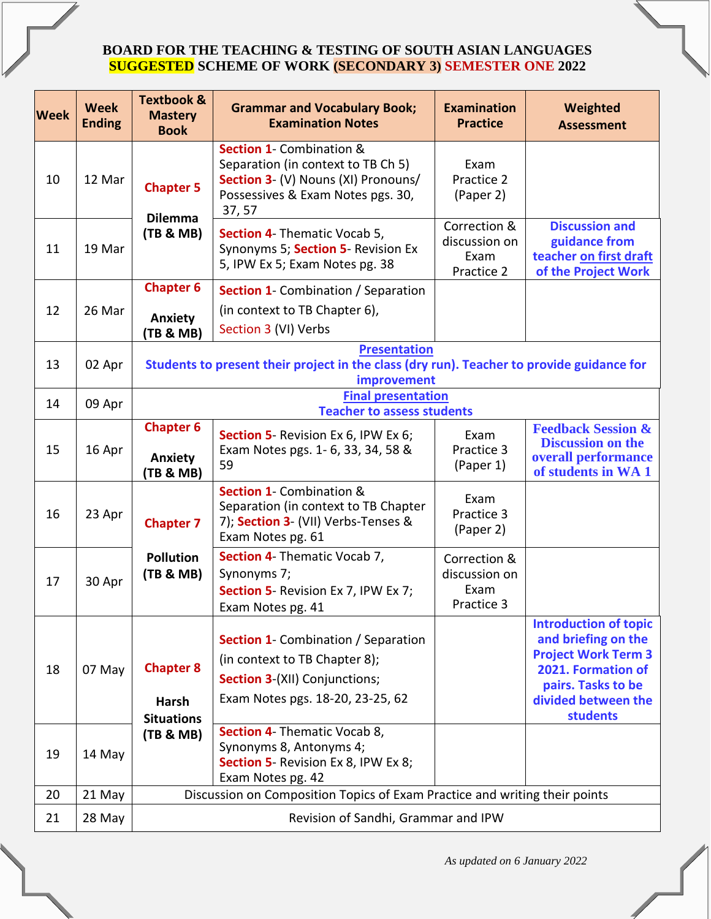## **BOARD FOR THE TEACHING & TESTING OF SOUTH ASIAN LANGUAGES SUGGESTED SCHEME OF WORK (SECONDARY 3) SEMESTER ONE 2022**

| <b>Week</b> | <b>Week</b><br><b>Ending</b> | <b>Textbook &amp;</b><br><b>Mastery</b><br><b>Book</b>                                                                          | <b>Grammar and Vocabulary Book;</b><br><b>Examination Notes</b>                                                                                          | <b>Examination</b><br><b>Practice</b>               | Weighted<br><b>Assessment</b>                                                                                                                                           |
|-------------|------------------------------|---------------------------------------------------------------------------------------------------------------------------------|----------------------------------------------------------------------------------------------------------------------------------------------------------|-----------------------------------------------------|-------------------------------------------------------------------------------------------------------------------------------------------------------------------------|
| 10          | 12 Mar                       | <b>Chapter 5</b><br><b>Dilemma</b>                                                                                              | Section 1- Combination &<br>Separation (in context to TB Ch 5)<br>Section 3- (V) Nouns (XI) Pronouns/<br>Possessives & Exam Notes pgs. 30,<br>37, 57     | Exam<br>Practice 2<br>(Paper 2)                     |                                                                                                                                                                         |
| 11          | 19 Mar                       | (TB & MB)                                                                                                                       | Section 4 Thematic Vocab 5,<br>Synonyms 5; Section 5- Revision Ex<br>5, IPW Ex 5; Exam Notes pg. 38                                                      | Correction &<br>discussion on<br>Exam<br>Practice 2 | <b>Discussion and</b><br>guidance from<br>teacher on first draft<br>of the Project Work                                                                                 |
| 12          | 26 Mar                       | <b>Chapter 6</b><br>Anxiety<br>(TB & MB)                                                                                        | Section 1- Combination / Separation<br>(in context to TB Chapter 6),<br>Section 3 (VI) Verbs                                                             |                                                     |                                                                                                                                                                         |
| 13          | 02 Apr                       | <b>Presentation</b><br>Students to present their project in the class (dry run). Teacher to provide guidance for<br>improvement |                                                                                                                                                          |                                                     |                                                                                                                                                                         |
| 14          | 09 Apr                       | <b>Final presentation</b><br><b>Teacher to assess students</b>                                                                  |                                                                                                                                                          |                                                     |                                                                                                                                                                         |
| 15          | 16 Apr                       | <b>Chapter 6</b><br><b>Anxiety</b><br><b>(TB &amp; MB)</b>                                                                      | Section 5 Revision Ex 6, IPW Ex 6;<br>Exam Notes pgs. 1- 6, 33, 34, 58 &<br>59                                                                           | Exam<br>Practice 3<br>(Paper 1)                     | <b>Feedback Session &amp;</b><br><b>Discussion on the</b><br>overall performance<br>of students in WA 1                                                                 |
| 16          | 23 Apr                       | <b>Chapter 7</b>                                                                                                                | <b>Section 1- Combination &amp;</b><br>Separation (in context to TB Chapter<br>7); Section 3- (VII) Verbs-Tenses &<br>Exam Notes pg. 61                  | Exam<br>Practice 3<br>(Paper 2)                     |                                                                                                                                                                         |
| 17          | 30 Apr                       | <b>Pollution</b><br>(TB & MB)                                                                                                   | Section 4 Thematic Vocab 7,<br>Synonyms 7;<br>Section 5- Revision Ex 7, IPW Ex 7;<br>Exam Notes pg. 41                                                   | Correction &<br>discussion on<br>Exam<br>Practice 3 |                                                                                                                                                                         |
| 18          | 07 May                       | <b>Chapter 8</b><br><b>Harsh</b><br><b>Situations</b>                                                                           | <b>Section 1</b> - Combination / Separation<br>(in context to TB Chapter 8);<br><b>Section 3</b> (XII) Conjunctions;<br>Exam Notes pgs. 18-20, 23-25, 62 |                                                     | <b>Introduction of topic</b><br>and briefing on the<br><b>Project Work Term 3</b><br>2021. Formation of<br>pairs. Tasks to be<br>divided between the<br><b>students</b> |
| 19          | 14 May                       | (TB & MB)                                                                                                                       | Section 4- Thematic Vocab 8,<br>Synonyms 8, Antonyms 4;<br>Section 5- Revision Ex 8, IPW Ex 8;<br>Exam Notes pg. 42                                      |                                                     |                                                                                                                                                                         |
| 20          | 21 May                       | Discussion on Composition Topics of Exam Practice and writing their points                                                      |                                                                                                                                                          |                                                     |                                                                                                                                                                         |
| 21          | 28 May                       | Revision of Sandhi, Grammar and IPW                                                                                             |                                                                                                                                                          |                                                     |                                                                                                                                                                         |

 *As updated on 6 January 2022*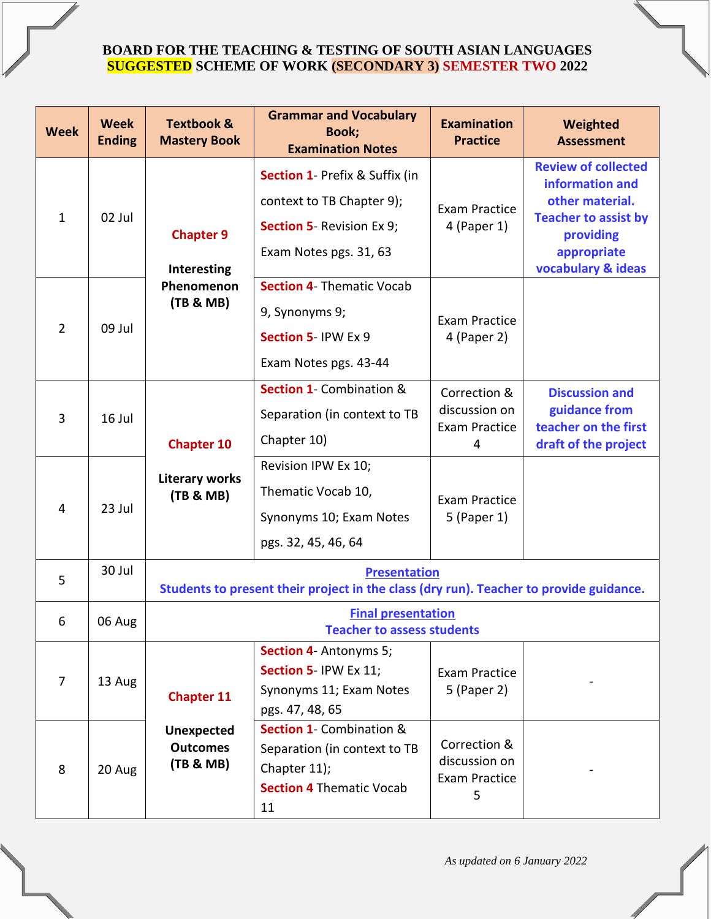## **BOARD FOR THE TEACHING & TESTING OF SOUTH ASIAN LANGUAGES SUGGESTED SCHEME OF WORK (SECONDARY 3) SEMESTER TWO 2022**

| <b>Week</b>    | <b>Week</b><br><b>Ending</b> | <b>Textbook &amp;</b><br><b>Mastery Book</b>                                           | <b>Grammar and Vocabulary</b><br>Book;<br><b>Examination Notes</b>  | <b>Examination</b><br><b>Practice</b>                 | Weighted<br><b>Assessment</b>                 |  |
|----------------|------------------------------|----------------------------------------------------------------------------------------|---------------------------------------------------------------------|-------------------------------------------------------|-----------------------------------------------|--|
|                | 02 Jul                       | <b>Chapter 9</b><br>Interesting<br>Phenomenon<br>(TB & MB)                             | <b>Section 1- Prefix &amp; Suffix (in</b>                           | <b>Exam Practice</b><br>$4$ (Paper 1)                 | <b>Review of collected</b><br>information and |  |
|                |                              |                                                                                        | context to TB Chapter 9);                                           |                                                       | other material.                               |  |
| $\mathbf{1}$   |                              |                                                                                        | <b>Section 5- Revision Ex 9;</b>                                    |                                                       | <b>Teacher to assist by</b><br>providing      |  |
|                |                              |                                                                                        | Exam Notes pgs. 31, 63                                              |                                                       | appropriate                                   |  |
|                | 09 Jul                       |                                                                                        | <b>Section 4- Thematic Vocab</b>                                    |                                                       | vocabulary & ideas                            |  |
|                |                              |                                                                                        | 9, Synonyms 9;                                                      | Exam Practice<br>4 (Paper 2)                          |                                               |  |
| $\overline{2}$ |                              |                                                                                        | Section 5-IPW Ex 9                                                  |                                                       |                                               |  |
|                |                              |                                                                                        | Exam Notes pgs. 43-44                                               |                                                       |                                               |  |
|                |                              |                                                                                        | <b>Section 1- Combination &amp;</b>                                 | Correction &                                          | <b>Discussion and</b>                         |  |
| $\overline{3}$ | 16 Jul                       | <b>Chapter 10</b>                                                                      | Separation (in context to TB                                        | discussion on<br><b>Exam Practice</b><br>4            | guidance from                                 |  |
|                |                              |                                                                                        | Chapter 10)                                                         |                                                       | teacher on the first<br>draft of the project  |  |
|                | 23 Jul                       | <b>Literary works</b><br>(TB & MB)                                                     | Revision IPW Ex 10;                                                 | <b>Exam Practice</b><br>5 (Paper 1)                   |                                               |  |
|                |                              |                                                                                        | Thematic Vocab 10,                                                  |                                                       |                                               |  |
| $\overline{4}$ |                              |                                                                                        | Synonyms 10; Exam Notes                                             |                                                       |                                               |  |
|                |                              |                                                                                        | pgs. 32, 45, 46, 64                                                 |                                                       |                                               |  |
| 5              | 30 Jul                       | <b>Presentation</b>                                                                    |                                                                     |                                                       |                                               |  |
|                |                              | Students to present their project in the class (dry run). Teacher to provide guidance. |                                                                     |                                                       |                                               |  |
| 6              | 06 Aug                       | <b>Final presentation</b><br><b>Teacher to assess students</b>                         |                                                                     |                                                       |                                               |  |
|                | 13 Aug                       |                                                                                        | <b>Section 4- Antonyms 5;</b>                                       |                                                       |                                               |  |
| $\overline{7}$ |                              | <b>Chapter 11</b>                                                                      | Section 5-IPW Ex 11;                                                | Exam Practice<br>5 (Paper 2)                          |                                               |  |
|                |                              |                                                                                        | Synonyms 11; Exam Notes                                             |                                                       |                                               |  |
|                |                              |                                                                                        | pgs. 47, 48, 65                                                     |                                                       |                                               |  |
|                | 20 Aug                       | <b>Unexpected</b><br><b>Outcomes</b><br>(TB & MB)                                      | <b>Section 1- Combination &amp;</b><br>Separation (in context to TB | Correction &<br>discussion on<br><b>Exam Practice</b> |                                               |  |
| 8              |                              |                                                                                        | Chapter 11);                                                        |                                                       |                                               |  |
|                |                              |                                                                                        | <b>Section 4 Thematic Vocab</b>                                     |                                                       |                                               |  |
|                |                              |                                                                                        | 11                                                                  | 5                                                     |                                               |  |